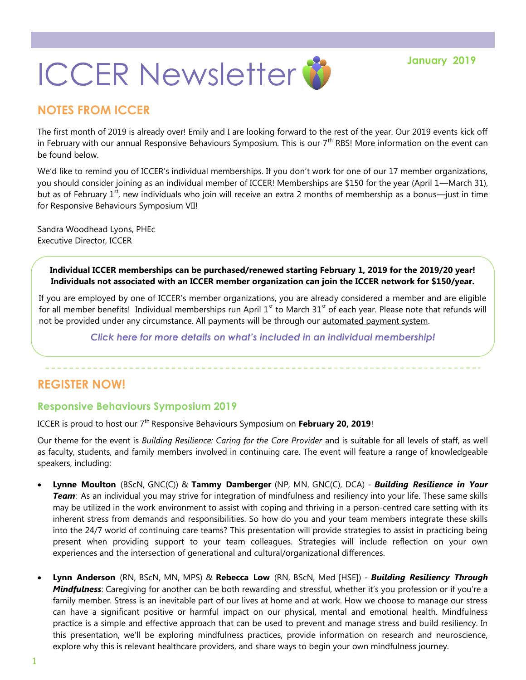# **ICCER Newsletter & Stanuary 2019**

## **NOTES FROM ICCER**

The first month of 2019 is already over! Emily and I are looking forward to the rest of the year. Our 2019 events kick off in February with our annual Responsive Behaviours Symposium. This is our  $7<sup>th</sup>$  RBS! More information on the event can be found below.

We'd like to remind you of ICCER's individual memberships. If you don't work for one of our 17 member organizations, you should consider joining as an individual member of ICCER! Memberships are \$150 for the year (April 1—March 31), but as of February  $1^{st}$ , new individuals who join will receive an extra 2 months of membership as a bonus—just in time for Responsive Behaviours Symposium VII!

Sandra Woodhead Lyons, PHEc Executive Director, ICCER

> **Individual ICCER memberships can be purchased/renewed starting February 1, 2019 for the 2019/20 year! Individuals not associated with an ICCER member organization can join the ICCER network for \$150/year.**

If you are employed by one of ICCER's member organizations, you are already considered a member and are eligible for all member benefits! Individual memberships run April  $1<sup>st</sup>$  to March 31<sup>st</sup> of each year. Please note that refunds will not be provided under any circumstance. All payments will be through our [automated payment system.](https://payment.augustana.ualberta.ca/store/Rehab+Medicine+-+ICCER+Store/)

*[Click here for more details on what's included in an individual membership!](http://iccer.ca/im.html)*

#### **REGISTER NOW!**

#### **Responsive Behaviours Symposium 2019**

ICCER is proud to host our 7<sup>th</sup> Responsive Behaviours Symposium on February 20, 2019!

Our theme for the event is *Building Resilience: Caring for the Care Provider* and is suitable for all levels of staff, as well as faculty, students, and family members involved in continuing care. The event will feature a range of knowledgeable speakers, including:

- **Lynne Moulton** (BScN, GNC(C)) & **Tammy Damberger** (NP, MN, GNC(C), DCA) *Building Resilience in Your Team*: As an individual you may strive for integration of mindfulness and resiliency into your life. These same skills may be utilized in the work environment to assist with coping and thriving in a person-centred care setting with its inherent stress from demands and responsibilities. So how do you and your team members integrate these skills into the 24/7 world of continuing care teams? This presentation will provide strategies to assist in practicing being present when providing support to your team colleagues. Strategies will include reflection on your own experiences and the intersection of generational and cultural/organizational differences.
- **Lynn Anderson** (RN, BScN, MN, MPS) & **Rebecca Low** (RN, BScN, Med [HSE]) *Building Resiliency Through Mindfulness*: Caregiving for another can be both rewarding and stressful, whether it's you profession or if you're a family member. Stress is an inevitable part of our lives at home and at work. How we choose to manage our stress can have a significant positive or harmful impact on our physical, mental and emotional health. Mindfulness practice is a simple and effective approach that can be used to prevent and manage stress and build resiliency. In this presentation, we'll be exploring mindfulness practices, provide information on research and neuroscience, explore why this is relevant healthcare providers, and share ways to begin your own mindfulness journey.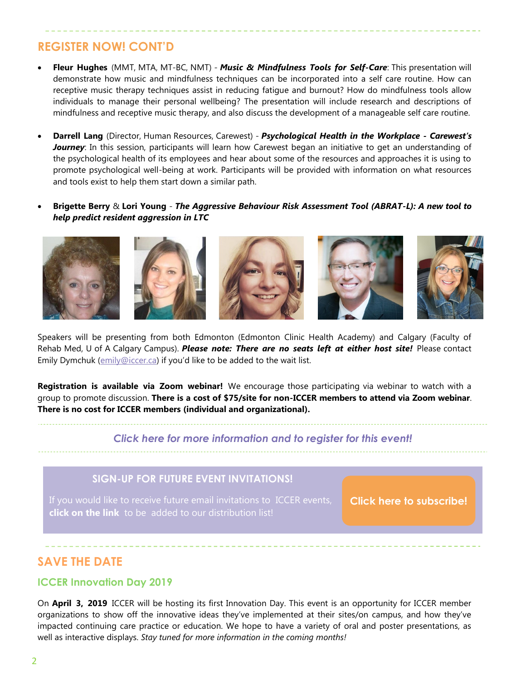## **REGISTER NOW! CONT'D**

- **Fleur Hughes** (MMT, MTA, MT-BC, NMT) *Music & Mindfulness Tools for Self-Care*: This presentation will demonstrate how music and mindfulness techniques can be incorporated into a self care routine. How can receptive music therapy techniques assist in reducing fatigue and burnout? How do mindfulness tools allow individuals to manage their personal wellbeing? The presentation will include research and descriptions of mindfulness and receptive music therapy, and also discuss the development of a manageable self care routine.
- **Darrell Lang** (Director, Human Resources, Carewest) *Psychological Health in the Workplace - Carewest's Journey*: In this session, participants will learn how Carewest began an initiative to get an understanding of the psychological health of its employees and hear about some of the resources and approaches it is using to promote psychological well-being at work. Participants will be provided with information on what resources and tools exist to help them start down a similar path.
- **Brigette Berry** & **Lori Young**  *The Aggressive Behaviour Risk Assessment Tool (ABRAT-L): A new tool to help predict resident aggression in LTC*



Speakers will be presenting from both Edmonton (Edmonton Clinic Health Academy) and Calgary (Faculty of Rehab Med, U of A Calgary Campus). *Please note: There are no seats left at either host site!* Please contact Emily Dymchuk ([emily@iccer.ca](mailto:emily@iccer.ca)) if you'd like to be added to the wait list.

**Registration is available via Zoom webinar!** We encourage those participating via webinar to watch with a group to promote discussion. **There is a cost of \$75/site for non-ICCER members to attend via Zoom webinar**. **There is no cost for ICCER members (individual and organizational).** 

#### *[Click here for more information and to register for this event!](http://events.constantcontact.com/register/event?llr=hnncpkfab&oeidk=a07efva9pxtc4f6fc20)*

#### **SIGN-UP FOR FUTURE EVENT INVITATIONS!**

**click on the link** to be added to our distribution list!

**[Click here to subscribe!](https://visitor.r20.constantcontact.com/manage/optin?v=001MqUcqqvjwLD850nipaor0HtdI1Y9d8ED2u9ivDzRV7Gp5uTyf2p54vfsufOQXL7BcGZnnLM-9yRAw3TIqncd_CNV4yZzfE9gE8XUs-KE6So%3D)**

## **SAVE THE DATE**

#### **ICCER Innovation Day 2019**

On **April 3, 2019** ICCER will be hosting its first Innovation Day. This event is an opportunity for ICCER member organizations to show off the innovative ideas they've implemented at their sites/on campus, and how they've impacted continuing care practice or education. We hope to have a variety of oral and poster presentations, as well as interactive displays. *Stay tuned for more information in the coming months!*